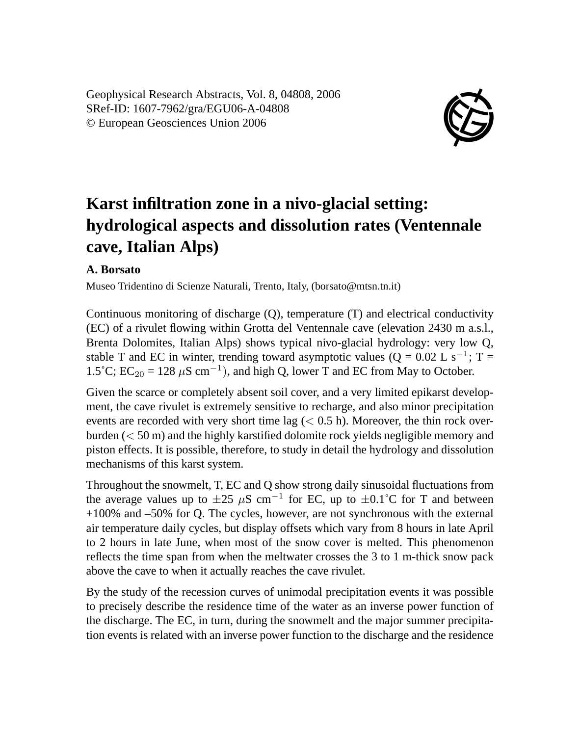Geophysical Research Abstracts, Vol. 8, 04808, 2006 SRef-ID: 1607-7962/gra/EGU06-A-04808 © European Geosciences Union 2006



## **Karst infiltration zone in a nivo-glacial setting: hydrological aspects and dissolution rates (Ventennale cave, Italian Alps)**

## **A. Borsato**

Museo Tridentino di Scienze Naturali, Trento, Italy, (borsato@mtsn.tn.it)

Continuous monitoring of discharge (Q), temperature (T) and electrical conductivity (EC) of a rivulet flowing within Grotta del Ventennale cave (elevation 2430 m a.s.l., Brenta Dolomites, Italian Alps) shows typical nivo-glacial hydrology: very low Q, stable T and EC in winter, trending toward asymptotic values ( $Q = 0.02$  L s<sup>-1</sup>; T = 1.5°C; EC<sub>20</sub> = 128 μS cm<sup>-1</sup>), and high Q, lower T and EC from May to October.

Given the scarce or completely absent soil cover, and a very limited epikarst development, the cave rivulet is extremely sensitive to recharge, and also minor precipitation events are recorded with very short time lag  $(< 0.5 \text{ h})$ . Moreover, the thin rock overburden  $(< 50 \text{ m})$  and the highly karstified dolomite rock yields negligible memory and piston effects. It is possible, therefore, to study in detail the hydrology and dissolution mechanisms of this karst system.

Throughout the snowmelt, T, EC and Q show strong daily sinusoidal fluctuations from the average values up to  $\pm 25$  µS cm<sup>-1</sup> for EC, up to  $\pm 0.1$ °C for T and between +100% and –50% for Q. The cycles, however, are not synchronous with the external air temperature daily cycles, but display offsets which vary from 8 hours in late April to 2 hours in late June, when most of the snow cover is melted. This phenomenon reflects the time span from when the meltwater crosses the 3 to 1 m-thick snow pack above the cave to when it actually reaches the cave rivulet.

By the study of the recession curves of unimodal precipitation events it was possible to precisely describe the residence time of the water as an inverse power function of the discharge. The EC, in turn, during the snowmelt and the major summer precipitation events is related with an inverse power function to the discharge and the residence